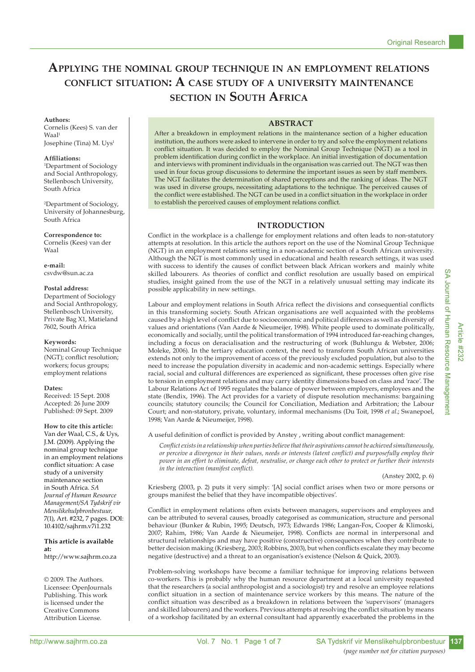# **APPLYING THE NOMINAL GROUP TECHNIQUE IN AN EMPLOYMENT RELATIONS CONFLICT SITUATION: A CASE STUDY OF A UNIVERSITY MAINTENANCE SECTION IN SOUTH AFRICA**

# **Authors:**

Cornelis (Kees) S. van der Waal1 Josephine (Tina) M. Uys1

#### **Affi liations:**

1 Department of Sociology and Social Anthropology, Stellenbosch University, South Africa

2 Department of Sociology, University of Johannesburg, South Africa

**Correspondence to:** 

Cornelis (Kees) van der Waal

**e-mail:** csvdw@sun.ac.za

#### **Postal address:**

Department of Sociology and Social Anthropology, Stellenbosch University, Private Bag X1, Matieland 7602, South Africa

## **Keywords:**

Nominal Group Technique (NGT); conflict resolution; workers; focus groups; employment relations

## **Dates:**

Received: 15 Sept. 2008 Accepted: 26 June 2009 Published: 09 Sept. 2009

#### **How to cite this article:**

Van der Waal, C.S., & Uys, J.M. (2009). Applying the nominal group technique in an employment relations conflict situation: A case study of a university maintenance section in South Africa. *SA Journal of Human Resource Management/SA Tydskrif vir Menslikehulpbronbestuur,* 7(1), Art. #232, 7 pages. DOI: 10.4102/sajhrm.v7i1.232

**This article is available at:** http://www.sajhrm.co.za

© 2009. The Authors. Licensee: OpenJournals Publishing. This work is licensed under the Creative Commons Attribution License.

## **ABSTRACT**

After a breakdown in employment relations in the maintenance section of a higher education institution, the authors were asked to intervene in order to try and solve the employment relations conflict situation. It was decided to employ the Nominal Group Technique (NGT) as a tool in problem identification during conflict in the workplace. An initial investigation of documentation and interviews with prominent individuals in the organisation was carried out. The NGT was then used in four focus group discussions to determine the important issues as seen by staff members. The NGT facilitates the determination of shared perceptions and the ranking of ideas. The NGT was used in diverse groups, necessitating adaptations to the technique. The perceived causes of the conflict were established. The NGT can be used in a conflict situation in the workplace in order to establish the perceived causes of employment relations conflict.

# **INTRODUCTION**

Conflict in the workplace is a challenge for employment relations and often leads to non-statutory attempts at resolution. In this article the authors report on the use of the Nominal Group Technique (NGT) in an employment relations setting in a non-academic section of a South African university. Although the NGT is most commonly used in educational and health research settings, it was used with success to identify the causes of conflict between black African workers and mainly white skilled labourers. As theories of conflict and conflict resolution are usually based on empirical studies, insight gained from the use of the NGT in a relatively unusual setting may indicate its possible applicability in new settings.

Labour and employment relations in South Africa reflect the divisions and consequential conflicts in this transforming society. South African organisations are well acquainted with the problems caused by a high level of conflict due to socioeconomic and political differences as well as diversity of values and orientations (Van Aarde & Nieumeijer, 1998). White people used to dominate politically, economically and socially, until the political transformation of 1994 introduced far-reaching changes, including a focus on deracialisation and the restructuring of work (Buhlungu & Webster, 2006; Moleke, 2006). In the tertiary education context, the need to transform South African universities extends not only to the improvement of access of the previously excluded population, but also to the need to increase the population diversity in academic and non-academic settings. Especially where racial, social and cultural differences are experienced as significant, these processes often give rise to tension in employment relations and may carry identity dimensions based on class and 'race'. The Labour Relations Act of 1995 regulates the balance of power between employers, employees and the state (Bendix, 1996). The Act provides for a variety of dispute resolution mechanisms: bargaining councils; statutory councils; the Council for Conciliation, Mediation and Arbitration; the Labour Court; and non-statutory, private, voluntary, informal mechanisms (Du Toit, 1998 *et al*.; Swanepoel, 1998; Van Aarde & Nieumeijer, 1998).

## A useful definition of conflict is provided by Anstey, writing about conflict management:

*Conflict exists in a relationship when parties believe that their aspirations cannot be achieved simultaneously, or perceive a divergence in their values, needs or interests (latent conflict) and purposefully employ their power in an effort to eliminate, defeat, neutralise, or change each other to protect or further their interests*   $\dot{m}$  the interaction (manifest conflict).

(Anstey 2002, p. 6)

Kriesberg (2003, p. 2) puts it very simply: '[A] social conflict arises when two or more persons or groups manifest the belief that they have incompatible objectives'.

Conflict in employment relations often exists between managers, supervisors and employees and can be attributed to several causes, broadly categorised as communication, structure and personal behaviour (Bunker & Rubin, 1995; Deutsch, 1973; Edwards 1986; Langan-Fox, Cooper & Klimoski, 2007; Rahim, 1986; Van Aarde & Nieumeijer, 1998). Conflicts are normal in interpersonal and structural relationships and may have positive (constructive) consequences when they contribute to better decision making (Kriesberg, 2003; Robbins, 2003), but when conflicts escalate they may become negative (destructive) and a threat to an organisation's existence (Nelson & Quick, 2003).

Problem-solving workshops have become a familiar technique for improving relations between co-workers. This is probably why the human resource department at a local university requested that the researchers (a social anthropologist and a sociologist) try and resolve an employee relations conflict situation in a section of maintenance service workers by this means. The nature of the conflict situation was described as a breakdown in relations between the 'supervisors' (managers and skilled labourers) and the workers. Previous attempts at resolving the conflict situation by means of a workshop facilitated by an external consultant had apparently exacerbated the problems in the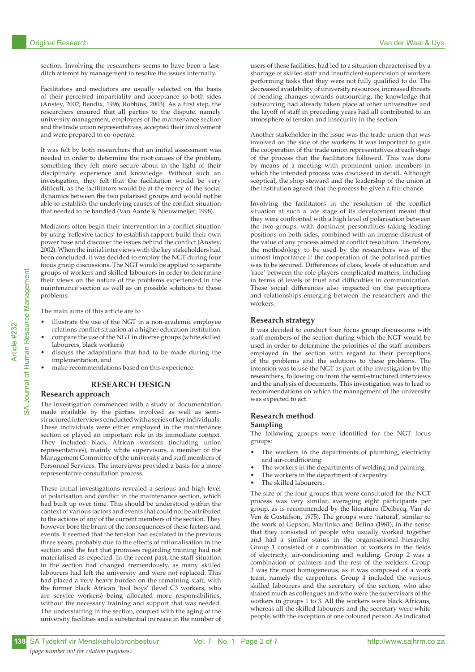section. Involving the researchers seems to have been a lastditch attempt by management to resolve the issues internally.

Facilitators and mediators are usually selected on the basis of their perceived impartiality and acceptance to both sides (Anstey, 2002; Bendix, 1996; Robbins, 2003). As a first step, the researchers ensured that all parties to the dispute, namely university management, employees of the maintenance section and the trade union representatives, accepted their involvement and were prepared to co-operate.

It was felt by both researchers that an initial assessment was needed in order to determine the root causes of the problem, something they felt more secure about in the light of their disciplinary experience and knowledge. Without such an investigation, they felt that the facilitation would be very difficult, as the facilitators would be at the mercy of the social dynamics between the two polarised groups and would not be able to establish the underlying causes of the conflict situation that needed to be handled (Van Aarde & Nieuwmeijer, 1998).

Mediators often begin their intervention in a conflict situation by using 'reflexive tactics' to establish rapport, build their own power base and discover the issues behind the conflict (Anstey, 2002). When the initial interviews with the key stakeholders had been concluded, it was decided to employ the NGT during four focus group discussions. The NGT would be applied to separate groups of workers and skilled labourers in order to determine their views on the nature of the problems experienced in the maintenance section as well as on possible solutions to these problems.

The main aims of this article are to

- illustrate the use of the NGT in a non-academic employee relations conflict situation at a higher education institution
- compare the use of the NGT in diverse groups (white skilled labourers, black workers)
- discuss the adaptations that had to be made during the implementation, and
- make recommendations based on this experience.

# **RESEARCH DESIGN**

## **Research approach**

The investigation commenced with a study of documentation made available by the parties involved as well as semistructured interviews conducted with a series of key individuals. These individuals were either employed in the maintenance section or played an important role in its immediate context. They included black African workers (including union representatives), mainly white supervisors, a member of the Management Committee of the university and staff members of Personnel Services. The interviews provided a basis for a more representative consultation process.

Fraction of workers and skilled labourers<br>their views on the nature of the problem<br>maintenance section as well as on possing maintenance section as well as on possing<br>problems.<br>The main aims of this article are to<br>designed These initial investigations revealed a serious and high level of polarisation and conflict in the maintenance section, which had built up over time. This should be understood within the context of various factors and events that could not be attributed to the actions of any of the current members of the section. They however bore the brunt of the consequences of these factors and events. It seemed that the tension had escalated in the previous three years, probably due to the effects of rationalisation in the section and the fact that promises regarding training had not materialised as expected. In the recent past, the staff situation in the section had changed tremendously, as many skilled labourers had left the university and were not replaced. This had placed a very heavy burden on the remaining staff, with the former black African 'tool boys' (level C3 workers, who are service workers) being allocated more responsibilities, without the necessary training and support that was needed. The understaffing in the section, coupled with the aging of the university facilities and a substantial increase in the number of users of these facilities, had led to a situation characterised by a shortage of skilled staff and insufficient supervision of workers performing tasks that they were not fully qualified to do. The decreased availability of university resources, increased threats of pending changes towards outsourcing, the knowledge that outsourcing had already taken place at other universities and the layoff of staff in preceding years had all contributed to an atmosphere of tension and insecurity in the section.

Another stakeholder in the issue was the trade union that was involved on the side of the workers. It was important to gain the cooperation of the trade union representatives at each stage of the process that the facilitators followed. This was done by means of a meeting with prominent union members in which the intended process was discussed in detail. Although sceptical, the shop steward and the leadership of the union at the institution agreed that the process be given a fair chance.

Involving the facilitators in the resolution of the conflict situation at such a late stage of its development meant that they were confronted with a high level of polarisation between the two groups, with dominant personalities taking leading positions on both sides, combined with an intense distrust of the value of any process aimed at conflict resolution. Therefore, the methodology to be used by the researchers was of the utmost importance if the cooperation of the polarised parties was to be secured. Differences of class, levels of education and 'race' between the role-players complicated matters, including in terms of levels of trust and difficulties in communication. These social differences also impacted on the perceptions and relationships emerging between the researchers and the workers.

## **Research strategy**

It was decided to conduct four focus group discussions with staff members of the section during which the NGT would be used in order to determine the priorities of the staff members employed in the section with regard to their perceptions of the problems and the solutions to these problems. The intention was to use the NGT as part of the investigation by the researchers, following on from the semi-structured interviews and the analysis of documents. This investigation was to lead to recommendations on which the management of the university was expected to act.

## **Research method**

## **Sampling**

The following groups were identified for the NGT focus groups:

- The workers in the departments of plumbing, electricity and air-conditioning
- The workers in the departments of welding and painting
- The workers in the department of carpentry
- The skilled labourers.

The size of the four groups that were constituted for the NGT process was very similar, averaging eight participants per group, as is recommended by the literature (Delbecq, Van de Ven & Gustafson, 1975). The groups were 'natural', similar to the work of Gepson, Martinko and Belina (1981), in the sense that they consisted of people who usually worked together and had a similar status in the organisational hierarchy. Group 1 consisted of a combination of workers in the fields of electricity, air-conditioning and welding. Group 2 was a combination of painters and the rest of the welders. Group 3 was the most homogeneous, as it was composed of a work team, namely the carpenters. Group 4 included the various skilled labourers and the secretary of the section, who also shared much as colleagues and who were the supervisors of the workers in groups 1 to 3. All the workers were black Africans, whereas all the skilled labourers and the secretary were white people, with the exception of one coloured person. As indicated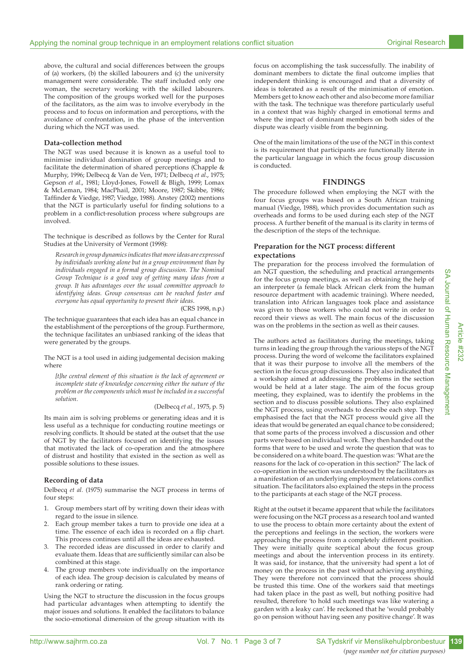above, the cultural and social differences between the groups of (a) workers, (b) the skilled labourers and (c) the university management were considerable. The staff included only one woman, the secretary working with the skilled labourers. The composition of the groups worked well for the purposes of the facilitators, as the aim was to involve everybody in the process and to focus on information and perceptions, with the avoidance of confrontation, in the phase of the intervention during which the NGT was used.

# **Data-collection method**

The NGT was used because it is known as a useful tool to minimise individual domination of group meetings and to facilitate the determination of shared perceptions (Chapple & Murphy, 1996; Delbecq & Van de Ven, 1971; Delbecq *et al*., 1975; Gepson *et al*., 1981; Lloyd-Jones, Fowell & Bligh, 1999; Lomax & McLeman, 1984; MacPhail, 2001; Moore, 1987; Skibbe, 1986; Taffinder & Viedge, 1987; Viedge, 1988). Anstey (2002) mentions that the NGT is particularly useful for finding solutions to a problem in a conflict-resolution process where subgroups are involved.

The technique is described as follows by the Center for Rural Studies at the University of Vermont (1998):

*Research in group dynamics indicates that more ideas are expressed by individuals working alone but in a group environment than by individuals engaged in a formal group discussion. The Nominal Group Technique is a good way of getting many ideas from a group. It has advantages over the usual committee approach to identifying ideas. Group consensus can be reached faster and everyone has equal opportunity to present their ideas*.

(CRS 1998, n.p.)

The technique guarantees that each idea has an equal chance in the establishment of the perceptions of the group. Furthermore, the technique facilitates an unbiased ranking of the ideas that were generated by the groups.

The NGT is a tool used in aiding judgemental decision making where

*[t]he central element of this situation is the lack of agreement or incomplete state of knowledge concerning either the nature of the problem or the components which must be included in a successful solution.*

(Delbecq *et al.,* 1975, p. 5)

Its main aim is solving problems or generating ideas and it is less useful as a technique for conducting routine meetings or resolving conflicts. It should be stated at the outset that the use of NGT by the facilitators focused on identifying the issues that motivated the lack of co-operation and the atmosphere of distrust and hostility that existed in the section as well as possible solutions to these issues.

# **Recording of data**

Delbecq *et al.* (1975) summarise the NGT process in terms of four steps:

- 1. Group members start off by writing down their ideas with regard to the issue in silence.
- 2. Each group member takes a turn to provide one idea at a time. The essence of each idea is recorded on a flip chart. This process continues until all the ideas are exhausted.
- The recorded ideas are discussed in order to clarify and evaluate them. Ideas that are sufficiently similar can also be combined at this stage.
- 4. The group members vote individually on the importance of each idea. The group decision is calculated by means of rank ordering or rating.

Using the NGT to structure the discussion in the focus groups had particular advantages when attempting to identify the major issues and solutions. It enabled the facilitators to balance the socio-emotional dimension of the group situation with its focus on accomplishing the task successfully. The inability of dominant members to dictate the final outcome implies that independent thinking is encouraged and that a diversity of ideas is tolerated as a result of the minimisation of emotion. Members get to know each other and also become more familiar with the task. The technique was therefore particularly useful in a context that was highly charged in emotional terms and where the impact of dominant members on both sides of the dispute was clearly visible from the beginning.

One of the main limitations of the use of the NGT in this context is its requirement that participants are functionally literate in the particular language in which the focus group discussion is conducted.

# **FINDINGS**

The procedure followed when employing the NGT with the four focus groups was based on a South African training manual (Viedge, 1988), which provides documentation such as overheads and forms to be used during each step of the NGT process. A further benefit of the manual is its clarity in terms of the description of the steps of the technique.

# **Preparation for the NGT process: different expectations**

The preparation for the process involved the formulation of an NGT question, the scheduling and practical arrangements for the focus group meetings, as well as obtaining the help of an interpreter (a female black African clerk from the human resource department with academic training). Where needed, translation into African languages took place and assistance was given to those workers who could not write in order to record their views as well. The main focus of the discussion was on the problems in the section as well as their causes.

The authors acted as facilitators during the meetings, taking turns in leading the group through the various steps of the NGT process. During the word of welcome the facilitators explained that it was their purpose to involve all the members of the section in the focus group discussions. They also indicated that a workshop aimed at addressing the problems in the section would be held at a later stage. The aim of the focus group meeting, they explained, was to identify the problems in the section and to discuss possible solutions. They also explained the NGT process, using overheads to describe each step. They emphasised the fact that the NGT process would give all the ideas that would be generated an equal chance to be considered; that some parts of the process involved a discussion and other parts were based on individual work. They then handed out the forms that were to be used and wrote the question that was to be considered on a white board. The question was: 'What are the reasons for the lack of co-operation in this section?' The lack of co-operation in the section was understood by the facilitators as a manifestation of an underlying employment relations conflict situation. The facilitators also explained the steps in the process to the participants at each stage of the NGT process.

Right at the outset it became apparent that while the facilitators were focusing on the NGT process as a research tool and wanted to use the process to obtain more certainty about the extent of the perceptions and feelings in the section, the workers were approaching the process from a completely different position. They were initially quite sceptical about the focus group meetings and about the intervention process in its entirety. It was said, for instance, that the university had spent a lot of money on the process in the past without achieving anything. They were therefore not convinced that the process should be trusted this time. One of the workers said that meetings had taken place in the past as well, but nothing positive had resulted, therefore 'to hold such meetings was like watering a garden with a leaky can'. He reckoned that he 'would probably go on pension without having seen any positive change'. It was

S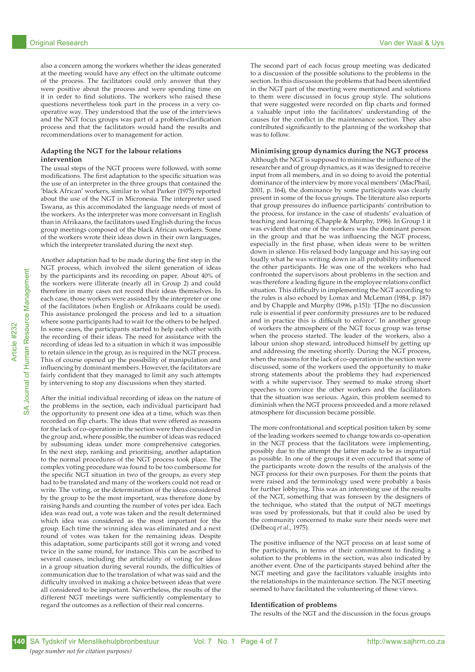also a concern among the workers whether the ideas generated at the meeting would have any effect on the ultimate outcome of the process. The facilitators could only answer that they were positive about the process and were spending time on it in order to find solutions. The workers who raised these questions nevertheless took part in the process in a very cooperative way. They understood that the use of the interviews and the NGT focus groups was part of a problem-clarification process and that the facilitators would hand the results and recommendations over to management for action.

## **Adapting the NGT for the labour relations intervention**

The usual steps of the NGT process were followed, with some modifications. The first adaptation to the specific situation was the use of an interpreter in the three groups that contained the 'black African' workers, similar to what Parker (1975) reported about the use of the NGT in Micronesia. The interpreter used Tswana, as this accommodated the language needs of most of the workers. As the interpreter was more conversant in English than in Afrikaans, the facilitators used English during the focus group meetings composed of the black African workers. Some of the workers wrote their ideas down in their own languages, which the interpreter translated during the next step.

Another adaptation had to be made during the first step in the NGT process, which involved the silent generation of ideas by the participants and its recording on paper. About 40% of the workers were illiterate (nearly all in Group 2) and could therefore in many cases not record their ideas themselves. In each case, those workers were assisted by the interpreter or one of the facilitators (when English or Afrikaans could be used). This assistance prolonged the process and led to a situation where some participants had to wait for the others to be helped. In some cases, the participants started to help each other with the recording of their ideas. The need for assistance with the recording of ideas led to a situation in which it was impossible to retain silence in the group, as is required in the NGT process. This of course opened up the possibility of manipulation and influencing by dominant members. However, the facilitators are fairly confident that they managed to limit any such attempts by intervening to stop any discussions when they started.

For process were illiterate (nearly all in the workers were sensited by the participants and its recording on therefore in many cases not record their each case, those workers were assisted by the feachilitors (when Engli After the initial individual recording of ideas on the nature of the problems in the section, each individual participant had the opportunity to present one idea at a time, which was then recorded on flip charts. The ideas that were offered as reasons for the lack of co-operation in the section were then discussed in the group and, where possible, the number of ideas was reduced by subsuming ideas under more comprehensive categories. In the next step, ranking and prioritising, another adaptation to the normal procedures of the NGT process took place. The complex voting procedure was found to be too cumbersome for the specific NGT situation in two of the groups, as every step had to be translated and many of the workers could not read or write. The voting, or the determination of the ideas considered by the group to be the most important, was therefore done by raising hands and counting the number of votes per idea. Each idea was read out, a vote was taken and the result determined which idea was considered as the most important for the group. Each time the winning idea was eliminated and a next round of votes was taken for the remaining ideas. Despite this adaptation, some participants still got it wrong and voted twice in the same round, for instance. This can be ascribed to several causes, including the artificiality of voting for ideas in a group situation during several rounds, the difficulties of communication due to the translation of what was said and the difficulty involved in making a choice between ideas that were all considered to be important. Nevertheless, the results of the different NGT meetings were sufficiently complementary to regard the outcomes as a reflection of their real concerns.

The second part of each focus group meeting was dedicated to a discussion of the possible solutions to the problems in the section. In this discussion the problems that had been identified in the NGT part of the meeting were mentioned and solutions to them were discussed in focus group style. The solutions that were suggested were recorded on flip charts and formed a valuable input into the facilitators' understanding of the causes for the conflict in the maintenance section. They also contributed significantly to the planning of the workshop that was to follow.

## **Minimising group dynamics during the NGT process**

Although the NGT is supposed to minimise the influence of the researcher and of group dynamics, as it was 'designed to receive input from all members, and in so doing to avoid the potential dominance of the interview by more vocal members' (MacPhail, 2001, p. 164), the dominance by some participants was clearly present in some of the focus groups. The literature also reports that group pressures do influence participants' contribution to the process, for instance in the case of students' evaluation of teaching and learning (Chapple & Murphy, 1996). In Group 1 it was evident that one of the workers was the dominant person in the group and that he was influencing the NGT process, especially in the first phase, when ideas were to be written down in silence. His relaxed body language and his saying out loudly what he was writing down in all probability influenced the other participants. He was one of the workers who had confronted the supervisors about problems in the section and was therefore a leading figure in the employee relations conflict situation. This difficulty in implementing the NGT according to the rules is also echoed by Lomax and McLeman (1984, p. 187) and by Chapple and Murphy (1996, p.151): '[T]he no discussion rule is essential if peer conformity pressures are to be reduced and in practice this is difficult to enforce'. In another group of workers the atmosphere of the NGT focus group was tense when the process started. The leader of the workers, also a labour union shop steward, introduced himself by getting up and addressing the meeting shortly. During the NGT process, when the reasons for the lack of co-operation in the section were discussed, some of the workers used the opportunity to make strong statements about the problems they had experienced with a white supervisor. They seemed to make strong short speeches to convince the other workers and the facilitators that the situation was serious. Again, this problem seemed to diminish when the NGT process proceeded and a more relaxed atmosphere for discussion became possible.

The more confrontational and sceptical position taken by some of the leading workers seemed to change towards co-operation in the NGT process that the facilitators were implementing, possibly due to the attempt the latter made to be as impartial as possible. In one of the groups it even occurred that some of the participants wrote down the results of the analysis of the NGT process for their own purposes. For them the points that were raised and the terminology used were probably a basis for further lobbying. This was an interesting use of the results of the NGT, something that was foreseen by the designers of the technique, who stated that the output of NGT meetings was used by professionals, but that it could also be used by the community concerned to make sure their needs were met (Delbecq *et al.*, 1975).

The positive influence of the NGT process on at least some of the participants, in terms of their commitment to finding a solution to the problems in the section, was also indicated by another event. One of the participants stayed behind after the NGT meeting and gave the facilitators valuable insights into the relationships in the maintenance section. The NGT meeting seemed to have facilitated the volunteering of these views.

#### **Identification of problems**

The results of the NGT and the discussion in the focus groups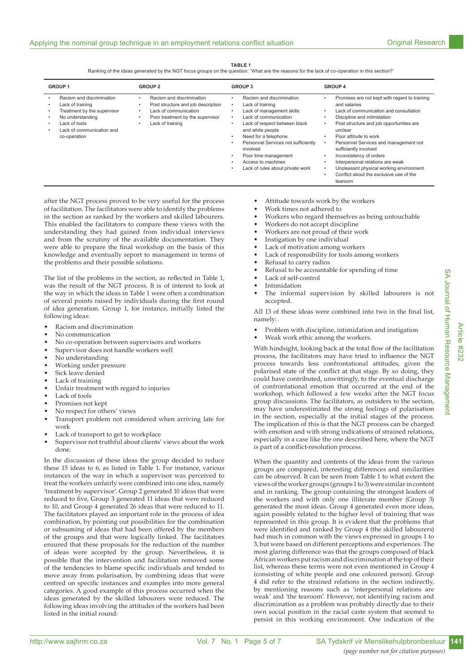#### **TABLE 1**

Ranking of the ideas generated by the NGT focus groups on the question: 'What are the reasons for the lack of co-operation in this section?'

| <b>GROUP 1</b>                                                                                                                                                 | <b>GROUP 2</b>                                                                                                                                                  | <b>GROUP 3</b>                                                                                                                                                                                                                                                                                                                          | <b>GROUP 4</b>                                                                                                                                                                                                                                                                                                                                                                                                                                                                                                                                                        |
|----------------------------------------------------------------------------------------------------------------------------------------------------------------|-----------------------------------------------------------------------------------------------------------------------------------------------------------------|-----------------------------------------------------------------------------------------------------------------------------------------------------------------------------------------------------------------------------------------------------------------------------------------------------------------------------------------|-----------------------------------------------------------------------------------------------------------------------------------------------------------------------------------------------------------------------------------------------------------------------------------------------------------------------------------------------------------------------------------------------------------------------------------------------------------------------------------------------------------------------------------------------------------------------|
| Racism and discrimination<br>Lack of training<br>Treatment by the supervisor<br>No understanding<br>Lack of tools<br>Lack of communication and<br>co-operation | Racism and discrimination<br>Post structure and job description<br>Lack of communication<br>٠<br>Poor treatment by the supervisor<br>٠<br>Lack of training<br>٠ | Racism and discrimination<br>Lack of training<br>٠<br>Lack of management skills<br>Lack of communication<br>$\bullet$<br>Lack of respect between black<br>and white people<br>Need for a telephone<br>Personnel Services not sufficiently<br>involved<br>Poor time management<br>Access to machines<br>Lack of rules about private work | Promises are not kept with regard to training<br>٠<br>and salaries<br>Lack of communication and consultation<br>$\bullet$<br>Discipline and intimidation<br>$\bullet$<br>Post structure and job opportunities are<br>$\bullet$<br>unclear<br>Poor attitude to work<br>$\bullet$<br>Personnel Services and management not<br>$\bullet$<br>sufficiently involved<br>Inconsistency of orders<br>$\bullet$<br>Interpersonal relations are weak<br>$\bullet$<br>Unpleasant physical working environment<br>$\bullet$<br>Conflict about the exclusive use of the<br>tearoom |

after the NGT process proved to be very useful for the process of facilitation. The facilitators were able to identify the problems in the section as ranked by the workers and skilled labourers. This enabled the facilitators to compare these views with the understanding they had gained from individual interviews and from the scrutiny of the available documentation. They were able to prepare the final workshop on the basis of this knowledge and eventually report to management in terms of the problems and their possible solutions.

The list of the problems in the section, as reflected in Table 1, was the result of the NGT process. It is of interest to look at the way in which the ideas in Table 1 were often a combination of several points raised by individuals during the first round of idea generation. Group 1, for instance, initially listed the following ideas:

- Racism and discrimination
- No communication
- No co-operation between supervisors and workers
- Supervisor does not handle workers well
- No understanding
- Working under pressure
- Sick leave denied
- Lack of training
- Unfair treatment with regard to injuries
- Lack of tools
- Promises not kept
- No respect for others' views
- Transport problem not considered when arriving late for work
- Lack of transport to get to workplace
- Supervisor not truthful about clients' views about the work done.

In the discussion of these ideas the group decided to reduce these 15 ideas to 6, as listed in Table 1. For instance, various instances of the way in which a supervisor was perceived to treat the workers unfairly were combined into one idea, namely 'treatment by supervisor'. Group 2 generated 10 ideas that were reduced to five, Group 3 generated 11 ideas that were reduced to 10, and Group 4 generated 26 ideas that were reduced to 11. The facilitators played an important role in the process of idea combination, by pointing out possibilities for the combination or subsuming of ideas that had been offered by the members of the groups and that were logically linked. The facilitators ensured that these proposals for the reduction of the number of ideas were accepted by the group. Nevertheless, it is possible that the intervention and facilitation removed some of the tendencies to blame specific individuals and tended to move away from polarisation, by combining ideas that were centred on specific instances and examples into more general categories. A good example of this process occurred when the ideas generated by the skilled labourers were reduced. The following ideas involving the attitudes of the workers had been listed in the initial round:

- Attitude towards work by the workers
- Work times not adhered to
- Workers who regard themselves as being untouchable
- Workers do not accept discipline
- Workers are not proud of their work
- Instigation by one individual
- Lack of motivation among workers
- Lack of responsibility for tools among workers
- Refusal to carry radios
- Refusal to be accountable for spending of time
- Lack of self-control
- **Intimidation**
- The informal supervision by skilled labourers is not accepted.

All 13 of these ideas were combined into two in the final list, namely:

- Problem with discipline, intimidation and instigation
- Weak work ethic among the workers.

With hindsight, looking back at the total flow of the facilitation process, the facilitators may have tried to influence the NGT process towards less confrontational attitudes, given the polarised state of the conflict at that stage. By so doing, they could have contributed, unwittingly, to the eventual discharge of confrontational emotion that occurred at the end of the workshop, which followed a few weeks after the NGT focus group discussions. The facilitators, as outsiders to the section, may have underestimated the strong feelings of polarisation in the section, especially at the initial stages of the process. The implication of this is that the NGT process can be charged with emotion and with strong indications of strained relations, especially in a case like the one described here, where the NGT is part of a conflict-resolution process.

When the quantity and contents of the ideas from the various groups are compared, interesting differences and similarities can be observed. It can be seen from Table 1 to what extent the views of the worker groups (groups 1 to 3) were similar in content and in ranking. The group containing the strongest leaders of the workers and with only one illiterate member (Group 3) generated the most ideas. Group 4 generated even more ideas, again possibly related to the higher level of training that was represented in this group. It is evident that the problems that were identified and ranked by Group 4 (the skilled labourers) had much in common with the views expressed in groups 1 to 3, but were based on different perceptions and experiences. The most glaring difference was that the groups composed of black African workers put racism and discrimination at the top of their list, whereas these terms were not even mentioned in Group 4 (consisting of white people and one coloured person). Group 4 did refer to the strained relations in the section indirectly, by mentioning reasons such as 'interpersonal relations are weak' and 'the tearoom'. However, not identifying racism and discrimination as a problem was probably directly due to their own social position in the racial caste system that seemed to persist in this working environment. One indication of the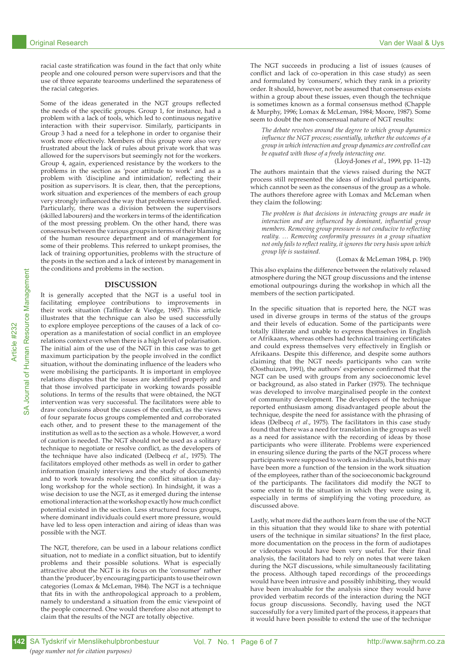racial caste stratification was found in the fact that only white people and one coloured person were supervisors and that the use of three separate tearooms underlined the separateness of the racial categories.

Some of the ideas generated in the NGT groups reflected the needs of the specific groups. Group 1, for instance, had a problem with a lack of tools, which led to continuous negative interaction with their supervisor. Similarly, participants in Group 3 had a need for a telephone in order to organise their work more effectively. Members of this group were also very frustrated about the lack of rules about private work that was allowed for the supervisors but seemingly not for the workers. Group 4, again, experienced resistance by the workers to the problems in the section as 'poor attitude to work' and as a problem with 'discipline and intimidation', reflecting their position as supervisors. It is clear, then, that the perceptions, work situation and experiences of the members of each group very strongly influenced the way that problems were identified. Particularly, there was a division between the supervisors (skilled labourers) and the workers in terms of the identification of the most pressing problem. On the other hand, there was consensus between the various groups in terms of their blaming of the human resource department and of management for some of their problems. This referred to unkept promises, the lack of training opportunities, problems with the structure of the posts in the section and a lack of interest by management in the conditions and problems in the section.

## **DISCUSSION**

Fraction and problems in the sectometric of the NGT and the NGT is generally accepted that the Kindow of facilitating employee contributions their work situation (Taffinder & Viedge in the second to explore employee perce It is generally accepted that the NGT is a useful tool in facilitating employee contributions to improvements in their work situation (Taffinder & Viedge, 1987). This article illustrates that the technique can also be used successfully to explore employee perceptions of the causes of a lack of cooperation as a manifestation of social conflict in an employee relations context even when there is a high level of polarisation. The initial aim of the use of the NGT in this case was to get maximum participation by the people involved in the conflict situation, without the dominating influence of the leaders who were mobilising the participants. It is important in employee relations disputes that the issues are identified properly and that those involved participate in working towards possible solutions. In terms of the results that were obtained, the NGT intervention was very successful. The facilitators were able to draw conclusions about the causes of the conflict, as the views of four separate focus groups complemented and corroborated each other, and to present these to the management of the institution as well as to the section as a whole. However, a word of caution is needed. The NGT should not be used as a solitary technique to negotiate or resolve conflict, as the developers of the technique have also indicated (Delbecq *et al.*, 1975). The facilitators employed other methods as well in order to gather information (mainly interviews and the study of documents) and to work towards resolving the conflict situation (a daylong workshop for the whole section). In hindsight, it was a wise decision to use the NGT, as it emerged during the intense emotional interaction at the workshop exactly how much conflict potential existed in the section. Less structured focus groups, where dominant individuals could exert more pressure, would have led to less open interaction and airing of ideas than was possible with the NGT.

The NGT, therefore, can be used in a labour relations conflict situation, not to mediate in a conflict situation, but to identify problems and their possible solutions. What is especially attractive about the NGT is its focus on the 'consumer' rather than the 'producer', by encouraging participants to use their own categories (Lomax & McLeman, 1984). The NGT is a technique that fits in with the anthropological approach to a problem, namely to understand a situation from the emic viewpoint of the people concerned. One would therefore also not attempt to claim that the results of the NGT are totally objective.

The NGT succeeds in producing a list of issues (causes of conflict and lack of co-operation in this case study) as seen and formulated by 'consumers', which they rank in a priority order. It should, however, not be assumed that consensus exists within a group about these issues, even though the technique is sometimes known as a formal consensus method (Chapple & Murphy, 1996; Lomax & McLeman, 1984; Moore, 1987). Some seem to doubt the non-consensual nature of NGT results:

*The debate revolves around the degree to which group dynamics influence the NGT process; essentially, whether the outcomes of a group in which interaction and group dynamics are controlled can be equated with those of a freely interacting one.*

(Lloyd-Jones *et al.*, 1999, pp. 11–12)

The authors maintain that the views raised during the NGT process still represented the ideas of individual participants, which cannot be seen as the consensus of the group as a whole. The authors therefore agree with Lomax and McLeman when they claim the following:

*The problem is that decisions in interacting groups are made in interaction and are influenced by dominant, influential group members. Removing group pressure is not conducive to reflecting reality. … Removing conformity pressures in a group situation not only fails to reflect reality, it ignores the very basis upon which group life is sustained.* 

#### (Lomax & McLeman 1984, p. 190)

This also explains the difference between the relatively relaxed atmosphere during the NGT group discussions and the intense emotional outpourings during the workshop in which all the members of the section participated.

In the specific situation that is reported here, the NGT was used in diverse groups in terms of the status of the groups and their levels of education. Some of the participants were totally illiterate and unable to express themselves in English or Afrikaans, whereas others had technical training certificates and could express themselves very effectively in English or Afrikaans. Despite this difference, and despite some authors claiming that the NGT needs participants who can write (Oosthuizen, 1991), the authors' experience confirmed that the NGT can be used with groups from any socioeconomic level or background, as also stated in Parker (1975). The technique was developed to involve marginalised people in the context of community development. The developers of the technique reported enthusiasm among disadvantaged people about the technique, despite the need for assistance with the phrasing of ideas (Delbecq *et al.*, 1975). The facilitators in this case study found that there was a need for translation in the groups as well as a need for assistance with the recording of ideas by those participants who were illiterate. Problems were experienced in ensuring silence during the parts of the NGT process where participants were supposed to work as individuals, but this may have been more a function of the tension in the work situation of the employees, rather than of the socioeconomic background of the participants. The facilitators did modify the NGT to some extent to fit the situation in which they were using it, especially in terms of simplifying the voting procedure, as discussed above.

Lastly, what more did the authors learn from the use of the NGT in this situation that they would like to share with potential users of the technique in similar situations? In the first place, more documentation on the process in the form of audiotapes or videotapes would have been very useful. For their final analysis, the facilitators had to rely on notes that were taken during the NGT discussions, while simultaneously facilitating the process. Although taped recordings of the proceedings would have been intrusive and possibly inhibiting, they would have been invaluable for the analysis since they would have provided verbatim records of the interaction during the NGT focus group discussions. Secondly, having used the NGT successfully for a very limited part of the process, it appears that it would have been possible to extend the use of the technique